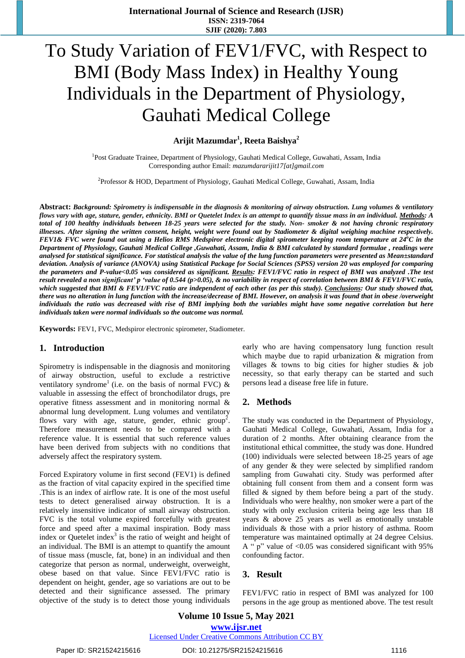# To Study Variation of FEV1/FVC, with Respect to BMI (Body Mass Index) in Healthy Young Individuals in the Department of Physiology, Gauhati Medical College

**Arijit Mazumdar<sup>1</sup> , Reeta Baishya<sup>2</sup>**

<sup>1</sup>Post Graduate Trainee, Department of Physiology, Gauhati Medical College, Guwahati, Assam, India Corresponding author Email: *mazumdararijit17[at]gmail.com*

<sup>2</sup>Professor & HOD, Department of Physiology, Gauhati Medical College, Guwahati, Assam, India

Abstract: Background: Spirometry is indispensable in the diagnosis & monitoring of airway obstruction. Lung volumes & ventilatory flows vary with age, stature, gender, ethnicity. BMI or Quetelet Index is an attempt to quantify tissue mass in an individual. Methods: A total of 100 healthy individuals between 18-25 years were selected for the study. Non-smoker & not having chronic respiratory illnesses. After signing the written consent, height, weight were found out by Stadiometer & digital weighing machine respectively. FEV1& FVC were found out using a Helios RMS Medspiror electronic digital spirometer keeping room temperature at 24°C in the Department of Physiology, Gauhati Medical College ,Guwahati, Assam, India & BMI calculated by standard formulae, readings were analysed for statistical significance. For statistical analysis the value of the lung function parameters were presented as Mean±standard deviation. Analysis of variance (ANOVA) using Statistical Package for Social Sciences (SPSS) version 20 was employed for comparing the parameters and P-value<0.05 was considered as significant. Results: FEV1/FVC ratio in respect of BMI was analyzed .The test result revealed a non significant' p 'value of 0.544 (p>0.05), & no variability in respect of correlation between BMI & FEV1/FVC ratio, which suggested that BMI & FEV1/FVC ratio are independent of each other (as per this study). Conclusions: Our study showed that, there was no alteration in lung function with the increase/decrease of BMI. However, on analysis it was found that in obese /overweight individuals the ratio was decreased with rise of BMI implying both the variables might have some negative correlation but here *individuals taken were normal individuals so the outcome was normal.*

**Keywords:** FEV1, FVC, Medspiror electronic spirometer, Stadiometer.

#### **1. Introduction**

Spirometry is indispensable in the diagnosis and monitoring of airway obstruction, useful to exclude a restrictive ventilatory syndrome<sup>1</sup> (i.e. on the basis of normal FVC)  $\&$ valuable in assessing the effect of bronchodilator drugs, pre operative fitness assessment and in monitoring normal & abnormal lung development. Lung volumes and ventilatory flows vary with age, stature, gender, ethnic group<sup>2</sup>. Therefore measurement needs to be compared with a reference value. It is essential that such reference values have been derived from subjects with no conditions that adversely affect the respiratory system.

Forced Expiratory volume in first second (FEV1) is defined as the fraction of vital capacity expired in the specified time .This is an index of airflow rate. It is one of the most useful tests to detect generalised airway obstruction. It is a relatively insensitive indicator of small airway obstruction. FVC is the total volume expired forcefully with greatest force and speed after a maximal inspiration. Body mass index or Quetelet index<sup>3</sup> is the ratio of weight and height of an individual. The BMI is an attempt to quantify the amount of tissue mass (muscle, fat, bone) in an individual and then categorize that person as normal, underweight, overweight, obese based on that value. Since FEV1/FVC ratio is dependent on height, gender, age so variations are out to be detected and their significance assessed. The primary objective of the study is to detect those young individuals

early who are having compensatory lung function result which maybe due to rapid urbanization & migration from villages & towns to big cities for higher studies & job necessity, so that early therapy can be started and such persons lead a disease free life in future.

#### **2. Methods**

The study was conducted in the Department of Physiology, Gauhati Medical College, Guwahati, Assam, India for a duration of 2 months. After obtaining clearance from the institutional ethical committee, the study was done. Hundred (100) individuals were selected between 18-25 years of age of any gender & they were selected by simplified random sampling from Guwahati city. Study was performed after obtaining full consent from them and a consent form was filled & signed by them before being a part of the study. Individuals who were healthy, non smoker were a part of the study with only exclusion criteria being age less than 18 years & above 25 years as well as emotionally unstable individuals & those with a prior history of asthma. Room temperature was maintained optimally at 24 degree Celsius. A " p" value of <0.05 was considered significant with 95% confounding factor.

#### **3. Result**

FEV1/FVC ratio in respect of BMI was analyzed for 100 persons in the age group as mentioned above. The test result

**Volume 10 Issue 5, May 2021 www.ijsr.net**

Licensed Under Creative Commons Attribution CC BY